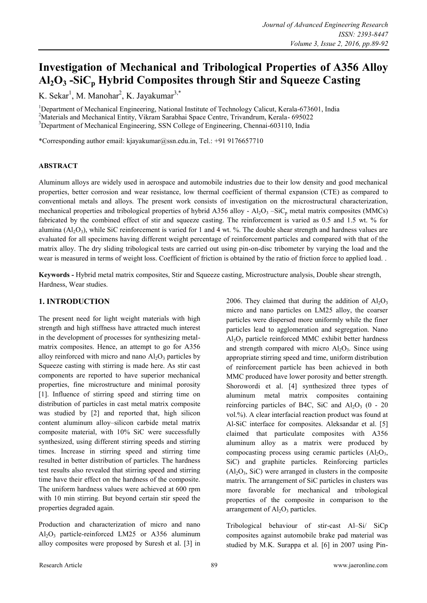# **Investigation of Mechanical and Tribological Properties of A356 Alloy Al2O<sup>3</sup> -SiC<sup>p</sup> Hybrid Composites through Stir and Squeeze Casting**

K. Sekar<sup>1</sup>, M. Manohar<sup>2</sup>, K. Jayakumar<sup>3,\*</sup>

<sup>1</sup>Department of Mechanical Engineering, National Institute of Technology Calicut, Kerala-673601, India <sup>2</sup>Materials and Mechanical Entity, Vikram Sarabhai Space Centre, Trivandrum, Kerala- 695022 <sup>3</sup>Department of Mechanical Engineering, SSN College of Engineering, Chennai-603110, India

\*Corresponding author email: kjayakumar@ssn.edu.in, Tel.: +91 9176657710

### **ABSTRACT**

Aluminum alloys are widely used in aerospace and automobile industries due to their low density and good mechanical properties, better corrosion and wear resistance, low thermal coefficient of thermal expansion (CTE) as compared to conventional metals and alloys. The present work consists of investigation on the microstructural characterization, mechanical properties and tribological properties of hybrid A356 alloy -  $Al_2O_3$  –SiC<sub>p</sub> metal matrix composites (MMCs) fabricated by the combined effect of stir and squeeze casting. The reinforcement is varied as 0.5 and 1.5 wt. % for alumina  $(Al_2O_3)$ , while SiC reinforcement is varied for 1 and 4 wt. %. The double shear strength and hardness values are evaluated for all specimens having different weight percentage of reinforcement particles and compared with that of the matrix alloy. The dry sliding tribological tests are carried out using pin-on-disc tribometer by varying the load and the wear is measured in terms of weight loss. Coefficient of friction is obtained by the ratio of friction force to applied load. .

**Keywords -** Hybrid metal matrix composites, Stir and Squeeze casting, Microstructure analysis, Double shear strength, Hardness, Wear studies.

# **1. INTRODUCTION**

The present need for light weight materials with high strength and high stiffness have attracted much interest in the development of processes for synthesizing metalmatrix composites. Hence, an attempt to go for A356 alloy reinforced with micro and nano  $Al_2O_3$  particles by Squeeze casting with stirring is made here. As stir cast components are reported to have superior mechanical properties, fine microstructure and minimal porosity [1]. Influence of stirring speed and stirring time on distribution of particles in cast metal matrix composite was studied by [2] and reported that, high silicon content aluminum alloy–silicon carbide metal matrix composite material, with 10% SiC were successfully synthesized, using different stirring speeds and stirring times. Increase in stirring speed and stirring time resulted in better distribution of particles. The hardness test results also revealed that stirring speed and stirring time have their effect on the hardness of the composite. The uniform hardness values were achieved at 600 rpm with 10 min stirring. But beyond certain stir speed the properties degraded again.

Production and characterization of micro and nano  $Al_2O_3$  particle-reinforced LM25 or A356 aluminum alloy composites were proposed by Suresh et al. [3] in

2006. They claimed that during the addition of  $Al_2O_3$ micro and nano particles on LM25 alloy, the coarser particles were dispersed more uniformly while the finer particles lead to agglomeration and segregation. Nano  $Al<sub>2</sub>O<sub>3</sub>$  particle reinforced MMC exhibit better hardness and strength compared with micro  $Al_2O_3$ . Since using appropriate stirring speed and time, uniform distribution of reinforcement particle has been achieved in both MMC produced have lower porosity and better strength. Shorowordi et al. [4] synthesized three types of aluminum metal matrix composites containing reinforcing particles of B4C, SiC and  $Al_2O_3$  (0 - 20 vol.%). A clear interfacial reaction product was found at Al-SiC interface for composites. Aleksandar et al. [5] claimed that particulate composites with A356 aluminum alloy as a matrix were produced by compocasting process using ceramic particles  $(A<sub>1</sub>, O<sub>3</sub>)$ , SiC) and graphite particles. Reinforcing particles  $(A<sub>2</sub>O<sub>3</sub>, SiC)$  were arranged in clusters in the composite matrix. The arrangement of SiC particles in clusters was more favorable for mechanical and tribological properties of the composite in comparison to the arrangement of  $Al<sub>2</sub>O<sub>3</sub>$  particles.

Tribological behaviour of stir-cast Al–Si/ SiCp composites against automobile brake pad material was studied by M.K. Surappa et al. [6] in 2007 using Pin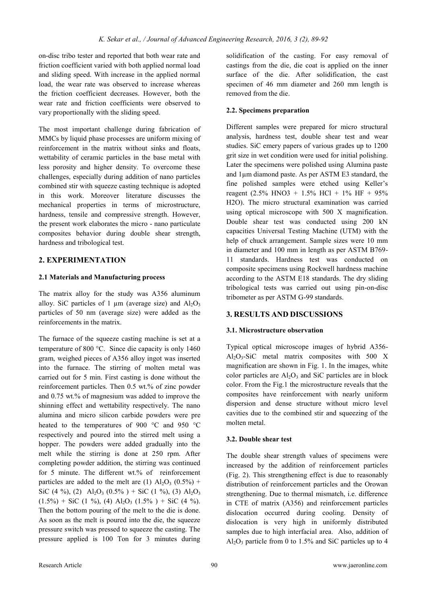on-disc tribo tester and reported that both wear rate and friction coefficient varied with both applied normal load and sliding speed. With increase in the applied normal load, the wear rate was observed to increase whereas the friction coefficient decreases. However, both the wear rate and friction coefficients were observed to vary proportionally with the sliding speed.

The most important challenge during fabrication of MMCs by liquid phase processes are uniform mixing of reinforcement in the matrix without sinks and floats, wettability of ceramic particles in the base metal with less porosity and higher density. To overcome these challenges, especially during addition of nano particles combined stir with squeeze casting technique is adopted in this work. Moreover literature discusses the mechanical properties in terms of microstructure, hardness, tensile and compressive strength. However, the present work elaborates the micro - nano particulate composites behavior during double shear strength, hardness and tribological test.

# **2. EXPERIMENTATION**

### **2.1 Materials and Manufacturing process**

The matrix alloy for the study was A356 aluminum alloy. SiC particles of 1  $\mu$ m (average size) and Al<sub>2</sub>O<sub>3</sub> particles of 50 nm (average size) were added as the reinforcements in the matrix.

The furnace of the squeeze casting machine is set at a temperature of 800 °C. Since die capacity is only 1460 gram, weighed pieces of A356 alloy ingot was inserted into the furnace. The stirring of molten metal was carried out for 5 min. First casting is done without the reinforcement particles. Then 0.5 wt.% of zinc powder and 0.75 wt.% of magnesium was added to improve the shinning effect and wettability respectively. The nano alumina and micro silicon carbide powders were pre heated to the temperatures of 900  $^{\circ}$ C and 950  $^{\circ}$ C respectively and poured into the stirred melt using a hopper. The powders were added gradually into the melt while the stirring is done at 250 rpm. After completing powder addition, the stirring was continued for 5 minute. The different wt.% of reinforcement particles are added to the melt are (1)  $Al_2O_3$  (0.5%) + SiC (4 %), (2) Al<sub>2</sub>O<sub>3</sub> (0.5%) + SiC (1 %), (3) Al<sub>2</sub>O<sub>3</sub>  $(1.5\%)$  + SiC (1 %), (4) Al<sub>2</sub>O<sub>3</sub> (1.5%) + SiC (4 %). Then the bottom pouring of the melt to the die is done. As soon as the melt is poured into the die, the squeeze pressure switch was pressed to squeeze the casting. The pressure applied is 100 Ton for 3 minutes during solidification of the casting. For easy removal of castings from the die, die coat is applied on the inner surface of the die. After solidification, the cast specimen of 46 mm diameter and 260 mm length is removed from the die.

## **2.2. Specimens preparation**

Different samples were prepared for micro structural analysis, hardness test, double shear test and wear studies. SiC emery papers of various grades up to 1200 grit size in wet condition were used for initial polishing. Later the specimens were polished using Alumina paste and 1µm diamond paste. As per ASTM E3 standard, the fine polished samples were etched using Keller's reagent (2.5% HNO3 + 1.5% HCl + 1% HF + 95% H2O). The micro structural examination was carried using optical microscope with 500 X magnification. Double shear test was conducted using 200 kN capacities Universal Testing Machine (UTM) with the help of chuck arrangement. Sample sizes were 10 mm in diameter and 100 mm in length as per ASTM B769- 11 standards. Hardness test was conducted on composite specimens using Rockwell hardness machine according to the ASTM E18 standards. The dry sliding tribological tests was carried out using pin-on-disc tribometer as per ASTM G-99 standards.

# **3. RESULTS AND DISCUSSIONS**

## **3.1. Microstructure observation**

Typical optical microscope images of hybrid A356-  $Al_2O_3-SiC$  metal matrix composites with 500 X magnification are shown in Fig. 1. In the images, white color particles are  $Al_2O_3$  and SiC particles are in block color. From the Fig.1 the microstructure reveals that the composites have reinforcement with nearly uniform dispersion and dense structure without micro level cavities due to the combined stir and squeezing of the molten metal.

## **3.2. Double shear test**

The double shear strength values of specimens were increased by the addition of reinforcement particles (Fig. 2). This strengthening effect is due to reasonably distribution of reinforcement particles and the Orowan strengthening. Due to thermal mismatch, i.e. difference in CTE of matrix (A356) and reinforcement particles dislocation occurred during cooling. Density of dislocation is very high in uniformly distributed samples due to high interfacial area. Also, addition of  $Al_2O_3$  particle from 0 to 1.5% and SiC particles up to 4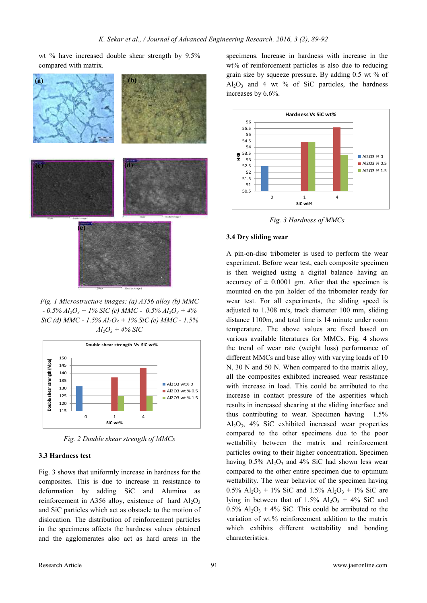wt % have increased double shear strength by 9.5% compared with matrix.



*Fig. 1 Microstructure images: (a) A356 alloy (b) MMC - 0.5% Al2O<sup>3</sup> + 1% SiC (c) MMC - 0.5% Al2O<sup>3</sup> + 4% SiC (d) MMC - 1.5% Al2O<sup>3</sup> + 1% SiC (e) MMC - 1.5%*   $Al_2O_3$  + 4% SiC



*Fig. 2 Double shear strength of MMCs*

#### **3.3 Hardness test**

Fig. 3 shows that uniformly increase in hardness for the composites. This is due to increase in resistance to deformation by adding SiC and Alumina as reinforcement in A356 alloy, existence of hard  $Al_2O_3$ and SiC particles which act as obstacle to the motion of dislocation. The distribution of reinforcement particles in the specimens affects the hardness values obtained and the agglomerates also act as hard areas in the

specimens. Increase in hardness with increase in the wt% of reinforcement particles is also due to reducing grain size by squeeze pressure. By adding 0.5 wt % of  $Al_2O_3$  and 4 wt % of SiC particles, the hardness increases by 6.6%.



*Fig. 3 Hardness of MMCs*

#### **3.4 Dry sliding wear**

A pin-on-disc tribometer is used to perform the wear experiment. Before wear test, each composite specimen is then weighed using a digital balance having an accuracy of  $\pm$  0.0001 gm. After that the specimen is mounted on the pin holder of the tribometer ready for wear test. For all experiments, the sliding speed is adjusted to 1.308 m/s, track diameter 100 mm, sliding distance 1100m, and total time is 14 minute under room temperature. The above values are fixed based on various available literatures for MMCs. Fig. 4 shows the trend of wear rate (weight loss) performance of different MMCs and base alloy with varying loads of 10 N, 30 N and 50 N. When compared to the matrix alloy, all the composites exhibited increased wear resistance with increase in load. This could be attributed to the increase in contact pressure of the asperities which results in increased shearing at the sliding interface and thus contributing to wear. Specimen having 1.5%  $Al_2O_3$ , 4% SiC exhibited increased wear properties compared to the other specimens due to the poor wettability between the matrix and reinforcement particles owing to their higher concentration. Specimen having  $0.5\%$  Al<sub>2</sub>O<sub>3</sub> and 4% SiC had shown less wear compared to the other entire specimen due to optimum wettability. The wear behavior of the specimen having  $0.5\%$  Al<sub>2</sub>O<sub>3</sub> + 1% SiC and 1.5% Al<sub>2</sub>O<sub>3</sub> + 1% SiC are lying in between that of  $1.5\%$  Al<sub>2</sub>O<sub>3</sub> + 4% SiC and  $0.5\%$  Al<sub>2</sub>O<sub>3</sub> + 4% SiC. This could be attributed to the variation of wt.% reinforcement addition to the matrix which exhibits different wettability and bonding characteristics.